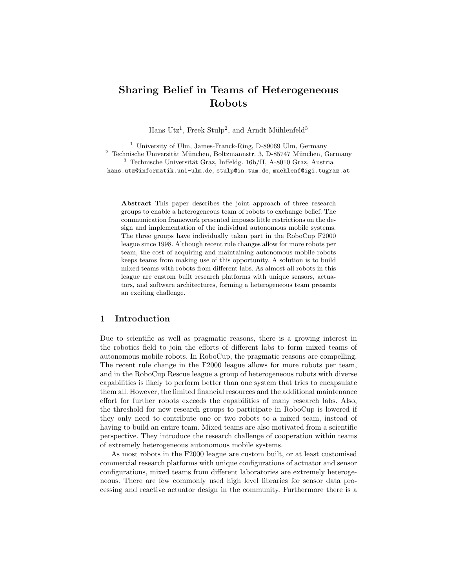# Sharing Belief in Teams of Heterogeneous Robots

Hans Utz<sup>1</sup>, Freek Stulp<sup>2</sup>, and Arndt Mühlenfeld<sup>3</sup>

<sup>1</sup> University of Ulm, James-Franck-Ring, D-89069 Ulm, Germany  $2$  Technische Universität München, Boltzmannstr. 3, D-85747 München, Germany  $^3$  Technische Universität Graz, Inffeldg. 16b/II, A-8010 Graz, Austria hans.utz@informatik.uni-ulm.de, stulp@in.tum.de, muehlenf@igi.tugraz.at

Abstract This paper describes the joint approach of three research groups to enable a heterogeneous team of robots to exchange belief. The communication framework presented imposes little restrictions on the design and implementation of the individual autonomous mobile systems. The three groups have individually taken part in the RoboCup F2000 league since 1998. Although recent rule changes allow for more robots per team, the cost of acquiring and maintaining autonomous mobile robots keeps teams from making use of this opportunity. A solution is to build mixed teams with robots from different labs. As almost all robots in this league are custom built research platforms with unique sensors, actuators, and software architectures, forming a heterogeneous team presents an exciting challenge.

# 1 Introduction

Due to scientific as well as pragmatic reasons, there is a growing interest in the robotics field to join the efforts of different labs to form mixed teams of autonomous mobile robots. In RoboCup, the pragmatic reasons are compelling. The recent rule change in the F2000 league allows for more robots per team, and in the RoboCup Rescue league a group of heterogeneous robots with diverse capabilities is likely to perform better than one system that tries to encapsulate them all. However, the limited financial resources and the additional maintenance effort for further robots exceeds the capabilities of many research labs. Also, the threshold for new research groups to participate in RoboCup is lowered if they only need to contribute one or two robots to a mixed team, instead of having to build an entire team. Mixed teams are also motivated from a scientific perspective. They introduce the research challenge of cooperation within teams of extremely heterogeneous autonomous mobile systems.

As most robots in the F2000 league are custom built, or at least customised commercial research platforms with unique configurations of actuator and sensor configurations, mixed teams from different laboratories are extremely heterogeneous. There are few commonly used high level libraries for sensor data processing and reactive actuator design in the community. Furthermore there is a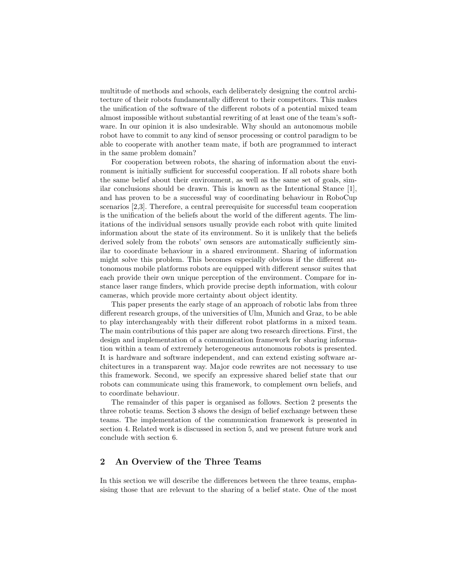multitude of methods and schools, each deliberately designing the control architecture of their robots fundamentally different to their competitors. This makes the unification of the software of the different robots of a potential mixed team almost impossible without substantial rewriting of at least one of the team's software. In our opinion it is also undesirable. Why should an autonomous mobile robot have to commit to any kind of sensor processing or control paradigm to be able to cooperate with another team mate, if both are programmed to interact in the same problem domain?

For cooperation between robots, the sharing of information about the environment is initially sufficient for successful cooperation. If all robots share both the same belief about their environment, as well as the same set of goals, similar conclusions should be drawn. This is known as the Intentional Stance [1], and has proven to be a successful way of coordinating behaviour in RoboCup scenarios [2,3]. Therefore, a central prerequisite for successful team cooperation is the unification of the beliefs about the world of the different agents. The limitations of the individual sensors usually provide each robot with quite limited information about the state of its environment. So it is unlikely that the beliefs derived solely from the robots' own sensors are automatically sufficiently similar to coordinate behaviour in a shared environment. Sharing of information might solve this problem. This becomes especially obvious if the different autonomous mobile platforms robots are equipped with different sensor suites that each provide their own unique perception of the environment. Compare for instance laser range finders, which provide precise depth information, with colour cameras, which provide more certainty about object identity.

This paper presents the early stage of an approach of robotic labs from three different research groups, of the universities of Ulm, Munich and Graz, to be able to play interchangeably with their different robot platforms in a mixed team. The main contributions of this paper are along two research directions. First, the design and implementation of a communication framework for sharing information within a team of extremely heterogeneous autonomous robots is presented. It is hardware and software independent, and can extend existing software architectures in a transparent way. Major code rewrites are not necessary to use this framework. Second, we specify an expressive shared belief state that our robots can communicate using this framework, to complement own beliefs, and to coordinate behaviour.

The remainder of this paper is organised as follows. Section 2 presents the three robotic teams. Section 3 shows the design of belief exchange between these teams. The implementation of the communication framework is presented in section 4. Related work is discussed in section 5, and we present future work and conclude with section 6.

# 2 An Overview of the Three Teams

In this section we will describe the differences between the three teams, emphasising those that are relevant to the sharing of a belief state. One of the most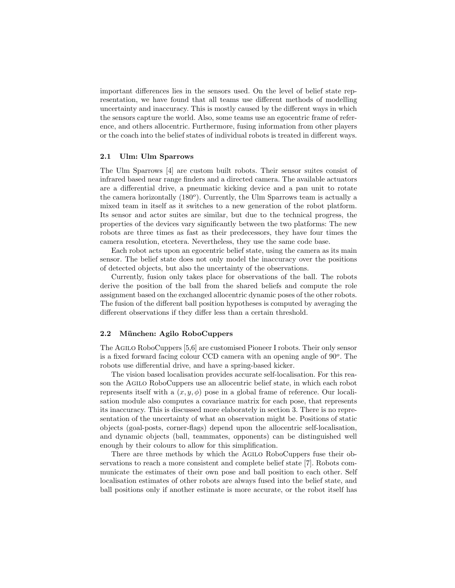important differences lies in the sensors used. On the level of belief state representation, we have found that all teams use different methods of modelling uncertainty and inaccuracy. This is mostly caused by the different ways in which the sensors capture the world. Also, some teams use an egocentric frame of reference, and others allocentric. Furthermore, fusing information from other players or the coach into the belief states of individual robots is treated in different ways.

#### 2.1 Ulm: Ulm Sparrows

The Ulm Sparrows [4] are custom built robots. Their sensor suites consist of infrared based near range finders and a directed camera. The available actuators are a differential drive, a pneumatic kicking device and a pan unit to rotate the camera horizontally (180<sup>o</sup>). Currently, the Ulm Sparrows team is actually a mixed team in itself as it switches to a new generation of the robot platform. Its sensor and actor suites are similar, but due to the technical progress, the properties of the devices vary significantly between the two platforms: The new robots are three times as fast as their predecessors, they have four times the camera resolution, etcetera. Nevertheless, they use the same code base.

Each robot acts upon an egocentric belief state, using the camera as its main sensor. The belief state does not only model the inaccuracy over the positions of detected objects, but also the uncertainty of the observations.

Currently, fusion only takes place for observations of the ball. The robots derive the position of the ball from the shared beliefs and compute the role assignment based on the exchanged allocentric dynamic poses of the other robots. The fusion of the different ball position hypotheses is computed by averaging the different observations if they differ less than a certain threshold.

#### 2.2 München: Agilo RoboCuppers

The Agilo RoboCuppers [5,6] are customised Pioneer I robots. Their only sensor is a fixed forward facing colour CCD camera with an opening angle of  $90^o$ . The robots use differential drive, and have a spring-based kicker.

The vision based localisation provides accurate self-localisation. For this reason the Agilo RoboCuppers use an allocentric belief state, in which each robot represents itself with a  $(x, y, \phi)$  pose in a global frame of reference. Our localisation module also computes a covariance matrix for each pose, that represents its inaccuracy. This is discussed more elaborately in section 3. There is no representation of the uncertainty of what an observation might be. Positions of static objects (goal-posts, corner-flags) depend upon the allocentric self-localisation, and dynamic objects (ball, teammates, opponents) can be distinguished well enough by their colours to allow for this simplification.

There are three methods by which the Agilo RoboCuppers fuse their observations to reach a more consistent and complete belief state [7]. Robots communicate the estimates of their own pose and ball position to each other. Self localisation estimates of other robots are always fused into the belief state, and ball positions only if another estimate is more accurate, or the robot itself has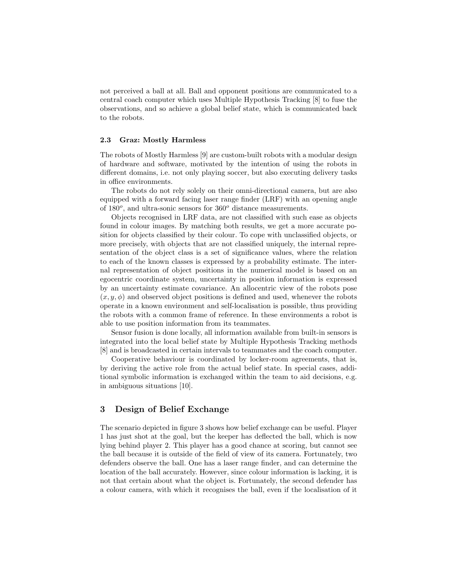not perceived a ball at all. Ball and opponent positions are communicated to a central coach computer which uses Multiple Hypothesis Tracking [8] to fuse the observations, and so achieve a global belief state, which is communicated back to the robots.

#### 2.3 Graz: Mostly Harmless

The robots of Mostly Harmless [9] are custom-built robots with a modular design of hardware and software, motivated by the intention of using the robots in different domains, i.e. not only playing soccer, but also executing delivery tasks in office environments.

The robots do not rely solely on their omni-directional camera, but are also equipped with a forward facing laser range finder (LRF) with an opening angle of  $180^\circ$ , and ultra-sonic sensors for  $360^\circ$  distance measurements.

Objects recognised in LRF data, are not classified with such ease as objects found in colour images. By matching both results, we get a more accurate position for objects classified by their colour. To cope with unclassified objects, or more precisely, with objects that are not classified uniquely, the internal representation of the object class is a set of significance values, where the relation to each of the known classes is expressed by a probability estimate. The internal representation of object positions in the numerical model is based on an egocentric coordinate system, uncertainty in position information is expressed by an uncertainty estimate covariance. An allocentric view of the robots pose  $(x, y, \phi)$  and observed object positions is defined and used, whenever the robots operate in a known environment and self-localisation is possible, thus providing the robots with a common frame of reference. In these environments a robot is able to use position information from its teammates.

Sensor fusion is done locally, all information available from built-in sensors is integrated into the local belief state by Multiple Hypothesis Tracking methods [8] and is broadcasted in certain intervals to teammates and the coach computer.

Cooperative behaviour is coordinated by locker-room agreements, that is, by deriving the active role from the actual belief state. In special cases, additional symbolic information is exchanged within the team to aid decisions, e.g. in ambiguous situations [10].

## 3 Design of Belief Exchange

The scenario depicted in figure 3 shows how belief exchange can be useful. Player 1 has just shot at the goal, but the keeper has deflected the ball, which is now lying behind player 2. This player has a good chance at scoring, but cannot see the ball because it is outside of the field of view of its camera. Fortunately, two defenders observe the ball. One has a laser range finder, and can determine the location of the ball accurately. However, since colour information is lacking, it is not that certain about what the object is. Fortunately, the second defender has a colour camera, with which it recognises the ball, even if the localisation of it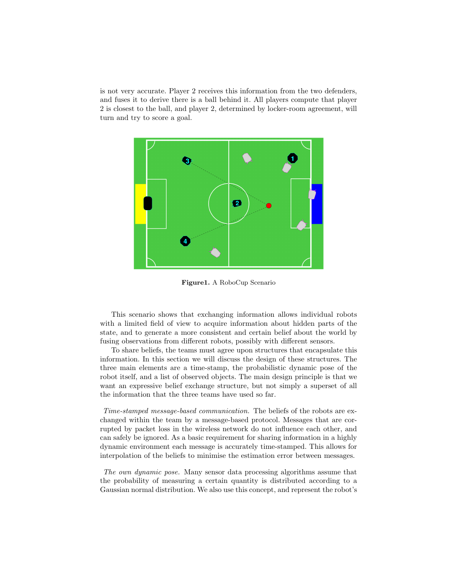is not very accurate. Player 2 receives this information from the two defenders, and fuses it to derive there is a ball behind it. All players compute that player 2 is closest to the ball, and player 2, determined by locker-room agreement, will turn and try to score a goal.



Figure1. A RoboCup Scenario

This scenario shows that exchanging information allows individual robots with a limited field of view to acquire information about hidden parts of the state, and to generate a more consistent and certain belief about the world by fusing observations from different robots, possibly with different sensors.

To share beliefs, the teams must agree upon structures that encapsulate this information. In this section we will discuss the design of these structures. The three main elements are a time-stamp, the probabilistic dynamic pose of the robot itself, and a list of observed objects. The main design principle is that we want an expressive belief exchange structure, but not simply a superset of all the information that the three teams have used so far.

Time-stamped message-based communication. The beliefs of the robots are exchanged within the team by a message-based protocol. Messages that are corrupted by packet loss in the wireless network do not influence each other, and can safely be ignored. As a basic requirement for sharing information in a highly dynamic environment each message is accurately time-stamped. This allows for interpolation of the beliefs to minimise the estimation error between messages.

The own dynamic pose. Many sensor data processing algorithms assume that the probability of measuring a certain quantity is distributed according to a Gaussian normal distribution. We also use this concept, and represent the robot's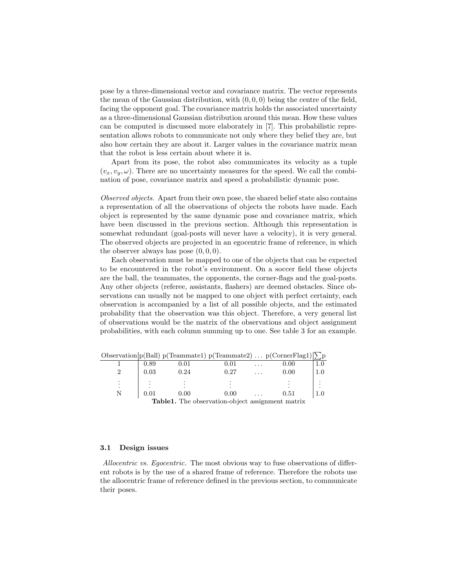pose by a three-dimensional vector and covariance matrix. The vector represents the mean of the Gaussian distribution, with  $(0, 0, 0)$  being the centre of the field, facing the opponent goal. The covariance matrix holds the associated uncertainty as a three-dimensional Gaussian distribution around this mean. How these values can be computed is discussed more elaborately in [7]. This probabilistic representation allows robots to communicate not only where they belief they are, but also how certain they are about it. Larger values in the covariance matrix mean that the robot is less certain about where it is.

Apart from its pose, the robot also communicates its velocity as a tuple  $(v_x, v_y, \omega)$ . There are no uncertainty measures for the speed. We call the combination of pose, covariance matrix and speed a probabilistic dynamic pose.

Observed objects. Apart from their own pose, the shared belief state also contains a representation of all the observations of objects the robots have made. Each object is represented by the same dynamic pose and covariance matrix, which have been discussed in the previous section. Although this representation is somewhat redundant (goal-posts will never have a velocity), it is very general. The observed objects are projected in an egocentric frame of reference, in which the observer always has pose  $(0, 0, 0)$ .

Each observation must be mapped to one of the objects that can be expected to be encountered in the robot's environment. On a soccer field these objects are the ball, the teammates, the opponents, the corner-flags and the goal-posts. Any other objects (referee, assistants, flashers) are deemed obstacles. Since observations can usually not be mapped to one object with perfect certainty, each observation is accompanied by a list of all possible objects, and the estimated probability that the observation was this object. Therefore, a very general list of observations would be the matrix of the observations and object assignment probabilities, with each column summing up to one. See table 3 for an example.

|            | Observation $p(Ball) p(Teammate1) p(Teammate2) \ldots p(CornerFlag1) \sum p$ |            |          |  |
|------------|------------------------------------------------------------------------------|------------|----------|--|
| 0.89       | 0.01                                                                         | $\rm 0.01$ | $0.00\,$ |  |
| 0.03       | 0.24                                                                         | 0.27       | 0.00     |  |
|            |                                                                              |            |          |  |
| $\rm 0.01$ | 0.00                                                                         | 0.00       | 0.51     |  |
|            | <b>Table1.</b> The observation-object assignment matrix                      |            |          |  |

#### 3.1 Design issues

Allocentric vs. Eqocentric. The most obvious way to fuse observations of different robots is by the use of a shared frame of reference. Therefore the robots use the allocentric frame of reference defined in the previous section, to communicate their poses.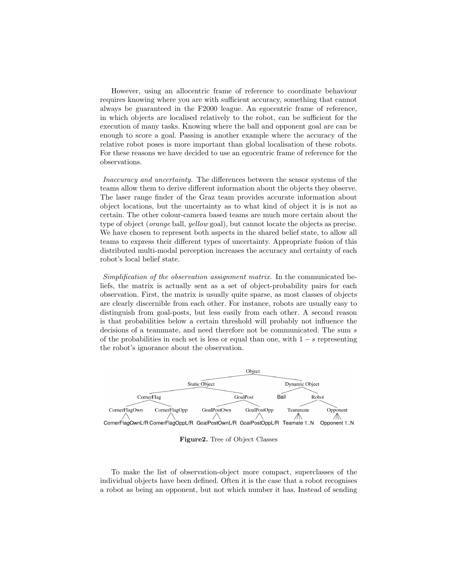However, using an allocentric frame of reference to coordinate behaviour requires knowing where you are with sufficient accuracy, something that cannot always be guaranteed in the F2000 league. An egocentric frame of reference, in which objects are localised relatively to the robot, can be sufficient for the execution of many tasks. Knowing where the ball and opponent goal are can be enough to score a goal. Passing is another example where the accuracy of the relative robot poses is more important than global localisation of these robots. For these reasons we have decided to use an egocentric frame of reference for the observations.

Inaccuracy and uncertainty. The differences between the sensor systems of the teams allow them to derive different information about the objects they observe. The laser range finder of the Graz team provides accurate information about object locations, but the uncertainty as to what kind of object it is is not as certain. The other colour-camera based teams are much more certain about the type of object (orange ball, yellow goal), but cannot locate the objects as precise. We have chosen to represent both aspects in the shared belief state, to allow all teams to express their different types of uncertainty. Appropriate fusion of this distributed multi-modal perception increases the accuracy and certainty of each robot's local belief state.

Simplification of the observation assignment matrix. In the communicated beliefs, the matrix is actually sent as a set of object-probability pairs for each observation. First, the matrix is usually quite sparse, as most classes of objects are clearly discernible from each other. For instance, robots are usually easy to distinguish from goal-posts, but less easily from each other. A second reason is that probabilities below a certain threshold will probably not influence the decisions of a teammate, and need therefore not be communicated. The sum  $s$ of the probabilities in each set is less or equal than one, with  $1 - s$  representing the robot's ignorance about the observation.



Figure2. Tree of Object Classes

To make the list of observation-object more compact, superclasses of the individual objects have been defined. Often it is the case that a robot recognises a robot as being an opponent, but not which number it has. Instead of sending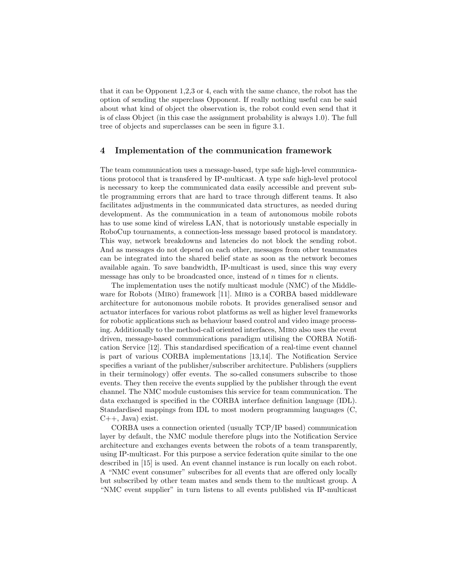that it can be Opponent 1,2,3 or 4, each with the same chance, the robot has the option of sending the superclass Opponent. If really nothing useful can be said about what kind of object the observation is, the robot could even send that it is of class Object (in this case the assignment probability is always 1.0). The full tree of objects and superclasses can be seen in figure 3.1.

## 4 Implementation of the communication framework

The team communication uses a message-based, type safe high-level communications protocol that is transfered by IP-multicast. A type safe high-level protocol is necessary to keep the communicated data easily accessible and prevent subtle programming errors that are hard to trace through different teams. It also facilitates adjustments in the communicated data structures, as needed during development. As the communication in a team of autonomous mobile robots has to use some kind of wireless LAN, that is notoriously unstable especially in RoboCup tournaments, a connection-less message based protocol is mandatory. This way, network breakdowns and latencies do not block the sending robot. And as messages do not depend on each other, messages from other teammates can be integrated into the shared belief state as soon as the network becomes available again. To save bandwidth, IP-multicast is used, since this way every message has only to be broadcasted once, instead of  $n$  times for  $n$  clients.

The implementation uses the notify multicast module (NMC) of the Middleware for Robots (Miro) framework [11]. Miro is a CORBA based middleware architecture for autonomous mobile robots. It provides generalised sensor and actuator interfaces for various robot platforms as well as higher level frameworks for robotic applications such as behaviour based control and video image processing. Additionally to the method-call oriented interfaces, Miro also uses the event driven, message-based communications paradigm utilising the CORBA Notification Service [12]. This standardised specification of a real-time event channel is part of various CORBA implementations [13,14]. The Notification Service specifies a variant of the publisher/subscriber architecture. Publishers (suppliers in their terminology) offer events. The so-called consumers subscribe to those events. They then receive the events supplied by the publisher through the event channel. The NMC module customises this service for team communication. The data exchanged is specified in the CORBA interface definition language (IDL). Standardised mappings from IDL to most modern programming languages (C,  $C_{++}$ , Java) exist.

CORBA uses a connection oriented (usually TCP/IP based) communication layer by default, the NMC module therefore plugs into the Notification Service architecture and exchanges events between the robots of a team transparently, using IP-multicast. For this purpose a service federation quite similar to the one described in [15] is used. An event channel instance is run locally on each robot. A "NMC event consumer" subscribes for all events that are offered only locally but subscribed by other team mates and sends them to the multicast group. A "NMC event supplier" in turn listens to all events published via IP-multicast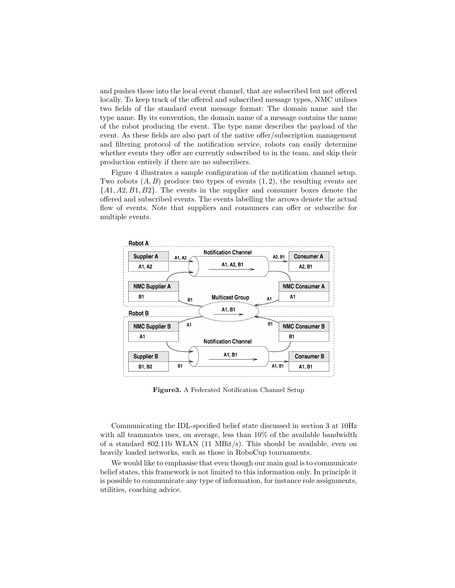and pushes those into the local event channel, that are subscribed but not offered locally. To keep track of the offered and subscribed message types, NMC utilises two fields of the standard event message format: The domain name and the type name. By its convention, the domain name of a message contains the name of the robot producing the event. The type name describes the payload of the event. As these fields are also part of the native offer/subscription management and filtering protocol of the notification service, robots can easily determine whether events they offer are currently subscribed to in the team, and skip their production entirely if there are no subscribers.

Figure 4 illustrates a sample configuration of the notification channel setup. Two robots  $(A, B)$  produce two types of events  $(1, 2)$ , the resulting events are  $\{A1, A2, B1, B2\}$ . The events in the supplier and consumer boxes denote the offered and subscribed events. The events labelling the arrows denote the actual flow of events. Note that suppliers and consumers can offer or subscribe for multiple events.



Figure3. A Federated Notification Channel Setup

Communicating the IDL-specified belief state discussed in section 3 at 10Hz with all teammates uses, on average, less than  $10\%$  of the available bandwidth of a standard 802.11b WLAN (11 MBit/s). This should be available, even on heavily loaded networks, such as those in RoboCup tournaments.

We would like to emphasise that even though our main goal is to communicate belief states, this framework is not limited to this information only. In principle it is possible to communicate any type of information, for instance role assignments, utilities, coaching advice.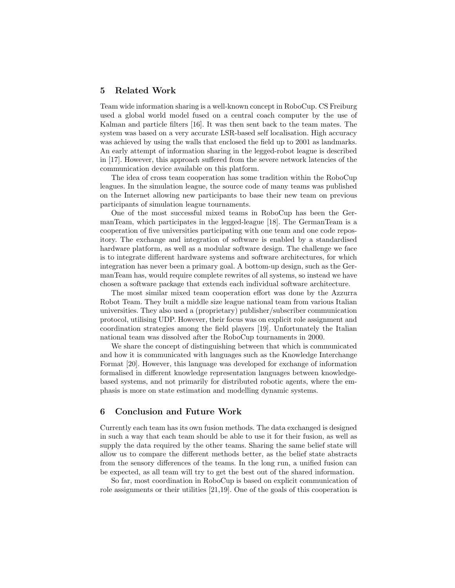## 5 Related Work

Team wide information sharing is a well-known concept in RoboCup. CS Freiburg used a global world model fused on a central coach computer by the use of Kalman and particle filters [16]. It was then sent back to the team mates. The system was based on a very accurate LSR-based self localisation. High accuracy was achieved by using the walls that enclosed the field up to 2001 as landmarks. An early attempt of information sharing in the legged-robot league is described in [17]. However, this approach suffered from the severe network latencies of the communication device available on this platform.

The idea of cross team cooperation has some tradition within the RoboCup leagues. In the simulation league, the source code of many teams was published on the Internet allowing new participants to base their new team on previous participants of simulation league tournaments.

One of the most successful mixed teams in RoboCup has been the GermanTeam, which participates in the legged-league [18]. The GermanTeam is a cooperation of five universities participating with one team and one code repository. The exchange and integration of software is enabled by a standardised hardware platform, as well as a modular software design. The challenge we face is to integrate different hardware systems and software architectures, for which integration has never been a primary goal. A bottom-up design, such as the GermanTeam has, would require complete rewrites of all systems, so instead we have chosen a software package that extends each individual software architecture.

The most similar mixed team cooperation effort was done by the Azzurra Robot Team. They built a middle size league national team from various Italian universities. They also used a (proprietary) publisher/subscriber communication protocol, utilising UDP. However, their focus was on explicit role assignment and coordination strategies among the field players [19]. Unfortunately the Italian national team was dissolved after the RoboCup tournaments in 2000.

We share the concept of distinguishing between that which is communicated and how it is communicated with languages such as the Knowledge Interchange Format [20]. However, this language was developed for exchange of information formalised in different knowledge representation languages between knowledgebased systems, and not primarily for distributed robotic agents, where the emphasis is more on state estimation and modelling dynamic systems.

## 6 Conclusion and Future Work

Currently each team has its own fusion methods. The data exchanged is designed in such a way that each team should be able to use it for their fusion, as well as supply the data required by the other teams. Sharing the same belief state will allow us to compare the different methods better, as the belief state abstracts from the sensory differences of the teams. In the long run, a unified fusion can be expected, as all team will try to get the best out of the shared information.

So far, most coordination in RoboCup is based on explicit communication of role assignments or their utilities [21,19]. One of the goals of this cooperation is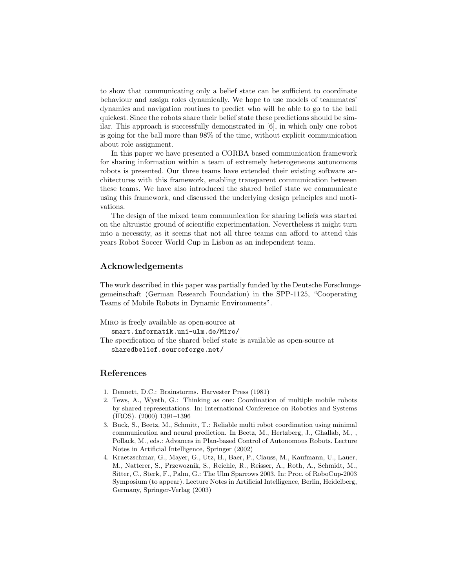to show that communicating only a belief state can be sufficient to coordinate behaviour and assign roles dynamically. We hope to use models of teammates' dynamics and navigation routines to predict who will be able to go to the ball quickest. Since the robots share their belief state these predictions should be similar. This approach is successfully demonstrated in [6], in which only one robot is going for the ball more than 98% of the time, without explicit communication about role assignment.

In this paper we have presented a CORBA based communication framework for sharing information within a team of extremely heterogeneous autonomous robots is presented. Our three teams have extended their existing software architectures with this framework, enabling transparent communication between these teams. We have also introduced the shared belief state we communicate using this framework, and discussed the underlying design principles and motivations.

The design of the mixed team communication for sharing beliefs was started on the altruistic ground of scientific experimentation. Nevertheless it might turn into a necessity, as it seems that not all three teams can afford to attend this years Robot Soccer World Cup in Lisbon as an independent team.

# Acknowledgements

The work described in this paper was partially funded by the Deutsche Forschungsgemeinschaft (German Research Foundation) in the SPP-1125, "Cooperating Teams of Mobile Robots in Dynamic Environments".

```
Miro is freely available as open-source at
smart.informatik.uni-ulm.de/Miro/
```

```
The specification of the shared belief state is available as open-source at
sharedbelief.sourceforge.net/
```
# References

- 1. Dennett, D.C.: Brainstorms. Harvester Press (1981)
- 2. Tews, A., Wyeth, G.: Thinking as one: Coordination of multiple mobile robots by shared representations. In: International Conference on Robotics and Systems (IROS). (2000) 1391–1396
- 3. Buck, S., Beetz, M., Schmitt, T.: Reliable multi robot coordination using minimal communication and neural prediction. In Beetz, M., Hertzberg, J., Ghallab, M., , Pollack, M., eds.: Advances in Plan-based Control of Autonomous Robots. Lecture Notes in Artificial Intelligence, Springer (2002)
- 4. Kraetzschmar, G., Mayer, G., Utz, H., Baer, P., Clauss, M., Kaufmann, U., Lauer, M., Natterer, S., Przewoznik, S., Reichle, R., Reisser, A., Roth, A., Schmidt, M., Sitter, C., Sterk, F., Palm, G.: The Ulm Sparrows 2003. In: Proc. of RoboCup-2003 Symposium (to appear). Lecture Notes in Artificial Intelligence, Berlin, Heidelberg, Germany, Springer-Verlag (2003)